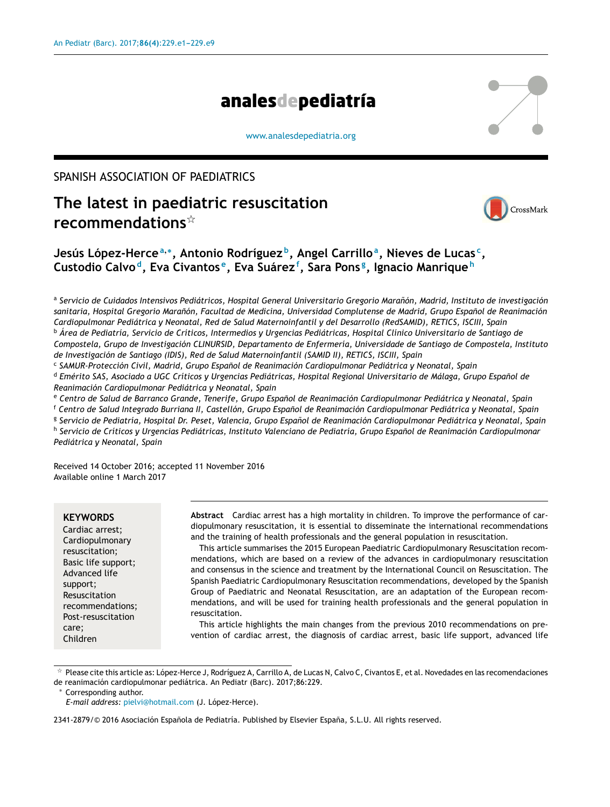# analesdepediatría

[www.analesdepediatria.org](http://www.analesdepediatria.org)

# SPANISH ASSOCIATION OF PAEDIATRICS

# **The latest in paediatric resuscitation recommendations**-



# **Jesús López-Herce<sup>a</sup>**,<sup>∗</sup> **, Antonio Rodríguez <sup>b</sup> , Angel Carrillo<sup>a</sup> , Nieves de Lucas <sup>c</sup> , Custodio Calvo <sup>d</sup> , Eva Civantos <sup>e</sup> , Eva Suárez<sup>f</sup> , Sara Pons <sup>g</sup> , Ignacio Manrique <sup>h</sup>**

ª Servicio de Cuidados Intensivos Pediátricos, Hospital General Universitario Gregorio Marañón, Madrid, Instituto de investigación sanitaria, Hospital Gregorio Marañón, Facultad de Medicina, Universidad Complutense de Madrid, Grupo Español de Reanimación *Cardiopulmonar Pediátrica y Neonatal, Red de Salud Maternoinfantil y del Desarrollo (RedSAMID), RETICS, ISCIII, Spain* <sup>b</sup> Área de Pediatría, Servicio de Críticos, Intermedios y Urgencias Pediátricas, Hospital Clínico Universitario de Santiago de *Compostela, Grupo de Investigación CLINURSID, Departamento de Enfermería, Universidade de Santiago de Compostela, Instituto de Investigación de Santiago (IDIS), Red de Salud Maternoinfantil (SAMID II), RETICS, ISCIII, Spain*

c *SAMUR-Protección Civil, Madrid, Grupo Espanol ˜ de Reanimación Cardiopulmonar Pediátrica y Neonatal, Spain* <sup>d</sup> Emérito SAS, Asociado a UGC Críticos y Urgencias Pediátricas, Hospital Regional Universitario de Málaga, Grupo Español de

*Reanimación Cardiopulmonar Pediátrica y Neonatal, Spain*

e Centro de Salud de Barranco Grande, Tenerife, Grupo Español de Reanimación Cardiopulmonar Pediátrica y Neonatal, Spain

<sup>f</sup> Centro de Salud Integrado Burriana II, Castellón, Grupo Español de Reanimación Cardiopulmonar Pediátrica y Neonatal, Spain

<sup>g</sup> Servicio de Pediatría, Hospital Dr. Peset, Valencia, Grupo Español de Reanimación Cardiopulmonar Pediátrica y Neonatal, Spain <sup>h</sup> Servicio de Críticos y Urgencias Pediátricas, Instituto Valenciano de Pediatría, Grupo Español de Reanimación Cardiopulmonar *Pediátrica y Neonatal, Spain*

Received 14 October 2016; accepted 11 November 2016 Available online 1 March 2017

#### **KEYWORDS**

Cardiac arrest; Cardiopulmonary resuscitation; Basic life support; Advanced life support; Resuscitation recommendations; Post-resuscitation care; Children

**Abstract** Cardiac arrest has a high mortality in children. To improve the performance of cardiopulmonary resuscitation, it is essential to disseminate the international recommendations and the training of health professionals and the general population in resuscitation.

This article summarises the 2015 European Paediatric Cardiopulmonary Resuscitation recommendations, which are based on a review of the advances in cardiopulmonary resuscitation and consensus in the science and treatment by the International Council on Resuscitation. The Spanish Paediatric Cardiopulmonary Resuscitation recommendations, developed by the Spanish Group of Paediatric and Neonatal Resuscitation, are an adaptation of the European recommendations, and will be used for training health professionals and the general population in resuscitation.

This article highlights the main changes from the previous 2010 recommendations on prevention of cardiac arrest, the diagnosis of cardiac arrest, basic life support, advanced life

Corresponding author.

 $^\star$  Please cite this article as: López-Herce J, Rodríguez A, Carrillo A, de Lucas N, Calvo C, Civantos E, et al. Novedades en las recomendaciones de reanimación cardiopulmonar pediátrica. An Pediatr (Barc). 2017;86:229.

*E-mail address:* [pielvi@hotmail.com](mailto:pielvi@hotmail.com) (J. López-Herce).

<sup>2341-2879/© 2016</sup> Asociación Española de Pediatría. Published by Elsevier España, S.L.U. All rights reserved.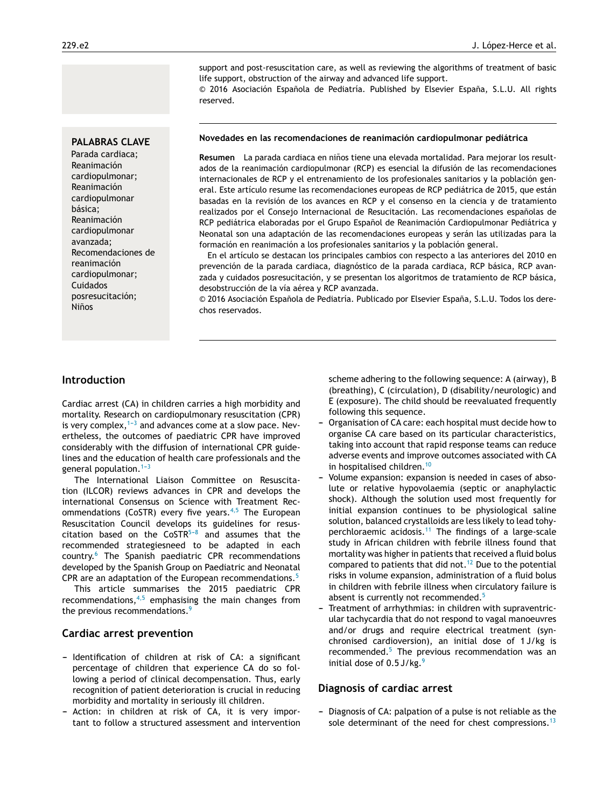support and post-resuscitation care, as well as reviewing the algorithms of treatment of basic life support, obstruction of the airway and advanced life support.

 $© 2016 Asociación Española de Pediatría. Published by Elsevier España, S.L.U. All rights$ reserved.

#### **PALABRAS CLAVE**

Parada cardiaca; Reanimación cardiopulmonar; Reanimación cardiopulmonar básica; Reanimación cardiopulmonar avanzada; Recomendaciones de reanimación cardiopulmonar; Cuidados posresucitación; **Niños** 

#### **Novedades en las recomendaciones de reanimación cardiopulmonar pediátrica**

Resumen La parada cardiaca en niños tiene una elevada mortalidad. Para mejorar los resultados de la reanimación cardiopulmonar (RCP) es esencial la difusión de las recomendaciones internacionales de RCP y el entrenamiento de los profesionales sanitarios y la población general. Este artículo resume las recomendaciones europeas de RCP pediátrica de 2015, que están basadas en la revisión de los avances en RCP y el consenso en la ciencia y de tratamiento realizados por el Consejo Internacional de Resucitación. Las recomendaciones españolas de RCP pediátrica elaboradas por el Grupo Español de Reanimación Cardiopulmonar Pediátrica y Neonatal son una adaptación de las recomendaciones europeas y serán las utilizadas para la formación en reanimación a los profesionales sanitarios y la población general.

En el artículo se destacan los principales cambios con respecto a las anteriores del 2010 en prevención de la parada cardiaca, diagnóstico de la parada cardiaca, RCP básica, RCP avanzada y cuidados posresucitación, y se presentan los algoritmos de tratamiento de RCP básica, desobstrucción de la vía aérea y RCP avanzada.

© 2016 Asociación Española de Pediatría. Publicado por Elsevier España, S.L.U. Todos los derechos reservados.

#### **Introduction**

Cardiac arrest (CA) in children carries a high morbidity and mortality. Research on cardiopulmonary resuscitation (CPR) is very complex, $1-3$  and advances come at a slow pace. Nevertheless, the outcomes of paediatric CPR have improved considerably with the diffusion of international CPR guidelines and the education of health care professionals and the general population. $1-3$ 

The International Liaison Committee on Resuscitation (ILCOR) reviews advances in CPR and develops the international Consensus on Science with Treatment Recommendations (CoSTR) every five years. $4,5$  The European Resuscitation Council develops its guidelines for resuscitation based on the  $CoSTR^{5-8}$  and assumes that the recommended strategiesneed to be adapted in each country.[6](#page-7-0) The Spanish paediatric CPR recommendations developed by the Spanish Group on Paediatric and Neonatal CPR are an adaptation of the European recommendations.<sup>[5](#page-7-0)</sup>

This article summarises the 2015 paediatric CPR recommendations, $4,5$  emphasising the main changes from the previous recommendations.<sup>[9](#page-7-0)</sup>

#### **Cardiac arrest prevention**

- Identification of children at risk of CA: a significant percentage of children that experience CA do so following a period of clinical decompensation. Thus, early recognition of patient deterioration is crucial in reducing morbidity and mortality in seriously ill children.
- Action: in children at risk of CA, it is very important to follow a structured assessment and intervention

scheme adhering to the following sequence: A (airway), B (breathing), C (circulation), D (disability/neurologic) and E (exposure). The child should be reevaluated frequently following this sequence.

- Organisation of CA care: each hospital must decide how to organise CA care based on its particular characteristics, taking into account that rapid response teams can reduce adverse events and improve outcomes associated with CA in hospitalised children.<sup>[10](#page-7-0)</sup>
- Volume expansion: expansion is needed in cases of absolute or relative hypovolaemia (septic or anaphylactic shock). Although the solution used most frequently for initial expansion continues to be physiological saline solution, balanced crystalloids are less likely to lead tohy-perchloraemic acidosis.<sup>[11](#page-7-0)</sup> The findings of a large-scale study in African children with febrile illness found that mortality was higher in patients that received a fluid bolus compared to patients that did not.<sup>[12](#page-7-0)</sup> Due to the potential risks in volume expansion, administration of a fluid bolus in children with febrile illness when circulatory failure is absent is currently not recommended.<sup>[5](#page-7-0)</sup>
- Treatment of arrhythmias: in children with supraventricular tachycardia that do not respond to vagal manoeuvres and/or drugs and require electrical treatment (synchronised cardioversion), an initial dose of 1 J/kg is recommended. $5$  The previous recommendation was an initial dose of  $0.5$  J/kg.<sup>[9](#page-7-0)</sup>

#### **Diagnosis of cardiac arrest**

- Diagnosis of CA: palpation of a pulse is not reliable as the sole determinant of the need for chest compressions.<sup>[13](#page-7-0)</sup>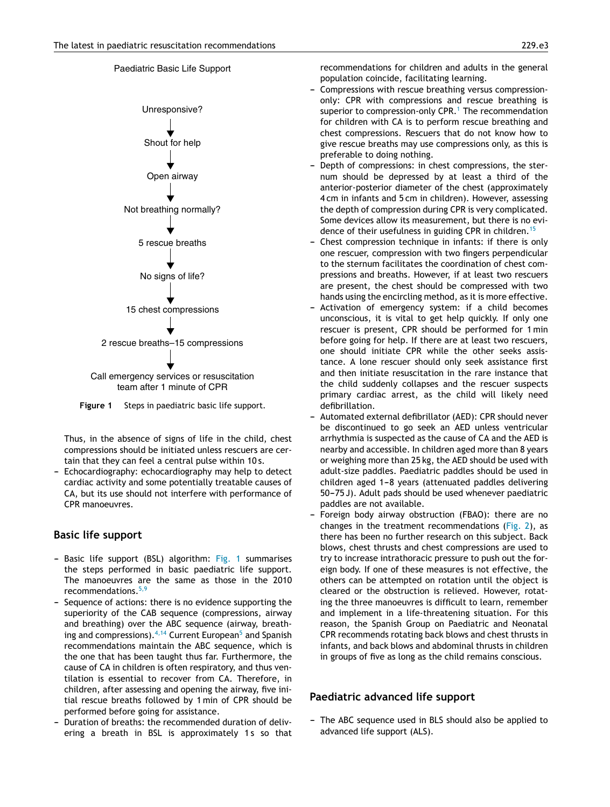# Unresponsive? Shout for help Open airway Not breathing normally? 5 rescue breaths No signs of life? 15 chest compressions 2 rescue breaths–15 compressions team after 1 minute of CPR

**Figure 1** Steps in paediatric basic life support.

Thus, in the absence of signs of life in the child, chest compressions should be initiated unless rescuers are certain that they can feel a central pulse within 10 s.

Echocardiography: echocardiography may help to detect cardiac activity and some potentially treatable causes of CA, but its use should not interfere with performance of CPR manoeuvres.

# **Basic life support**

- Basic life support (BSL) algorithm: Fig. 1 summarises the steps performed in basic paediatric life support. The manoeuvres are the same as those in the 2010 recommendations.[5,9](#page-7-0)
- Sequence of actions: there is no evidence supporting the superiority of the CAB sequence (compressions, airway and breathing) over the ABC sequence (airway, breathing [a](#page-7-0)nd compressions).  $4,14$  Current European<sup>5</sup> and Spanish recommendations maintain the ABC sequence, which is the one that has been taught thus far. Furthermore, the cause of CA in children is often respiratory, and thus ventilation is essential to recover from CA. Therefore, in children, after assessing and opening the airway, five initial rescue breaths followed by 1 min of CPR should be performed before going for assistance.
- Duration of breaths: the recommended duration of delivering a breath in BSL is approximately 1s so that

recommendations for children and adults in the general population coincide, facilitating learning.

- Compressions with rescue breathing versus compressiononly: CPR with compressions and rescue breathing is superior to compression-only  $CPR<sup>1</sup>$ . [T](#page-7-0)he recommendation for children with CA is to perform rescue breathing and chest compressions. Rescuers that do not know how to give rescue breaths may use compressions only, as this is preferable to doing nothing.
- Depth of compressions: in chest compressions, the sternum should be depressed by at least a third of the anterior-posterior diameter of the chest (approximately 4 cm in infants and 5 cm in children). However, assessing the depth of compression during CPR is very complicated. Some devices allow its measurement, but there is no evi-dence of their usefulness in guiding CPR in children.<sup>[15](#page-7-0)</sup>
- Chest compression technique in infants: if there is only one rescuer, compression with two fingers perpendicular to the sternum facilitates the coordination of chest compressions and breaths. However, if at least two rescuers are present, the chest should be compressed with two hands using the encircling method, as it is more effective.
- Activation of emergency system: if a child becomes unconscious, it is vital to get help quickly. If only one rescuer is present, CPR should be performed for 1 min before going for help. If there are at least two rescuers, one should initiate CPR while the other seeks assistance. A lone rescuer should only seek assistance first and then initiate resuscitation in the rare instance that the child suddenly collapses and the rescuer suspects primary cardiac arrest, as the child will likely need defibrillation.
- Automated external defibrillator (AED): CPR should never be discontinued to go seek an AED unless ventricular arrhythmia is suspected as the cause of CA and the AED is nearby and accessible. In children aged more than 8 years or weighing more than 25 kg, the AED should be used with adult-size paddles. Paediatric paddles should be used in children aged  $1-8$  years (attenuated paddles delivering 50–75 J). Adult pads should be used whenever paediatric paddles are not available.
- Foreign body airway obstruction (FBAO): there are no changes in the treatment recommendations ([Fig.](#page-3-0) 2), as there has been no further research on this subject. Back blows, chest thrusts and chest compressions are used to try to increase intrathoracic pressure to push out the foreign body. If one of these measures is not effective, the others can be attempted on rotation until the object is cleared or the obstruction is relieved. However, rotating the three manoeuvres is difficult to learn, remember and implement in a life-threatening situation. For this reason, the Spanish Group on Paediatric and Neonatal CPR recommends rotating back blows and chest thrusts in infants, and back blows and abdominal thrusts in children in groups of five as long as the child remains conscious.

### **Paediatric advanced life support**

- The ABC sequence used in BLS should also be applied to advanced life support (ALS).



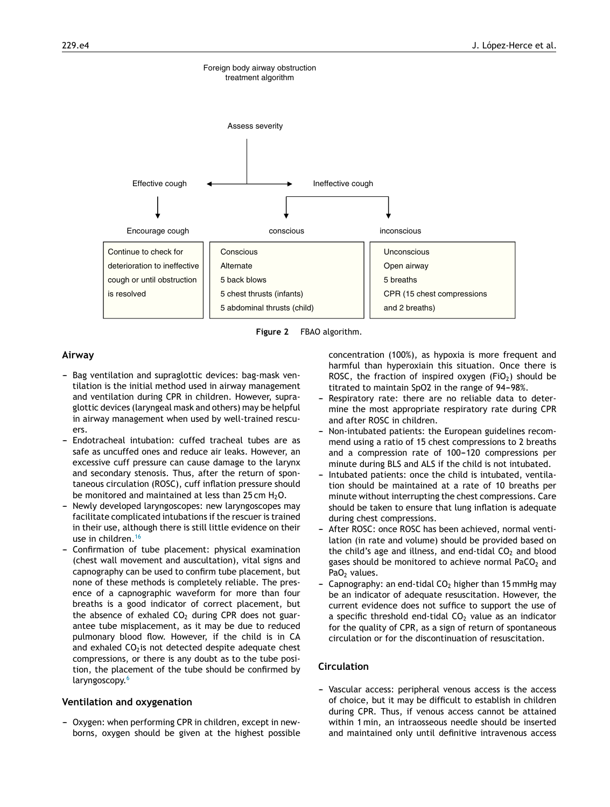<span id="page-3-0"></span>

**Figure 2** FBAO algorithm.

#### **Airway**

- Bag ventilation and supraglottic devices: bag-mask ventilation is the initial method used in airway management and ventilation during CPR in children. However, supraglottic devices (laryngeal mask and others) may be helpful in airway management when used by well-trained rescuers.
- Endotracheal intubation: cuffed tracheal tubes are as safe as uncuffed ones and reduce air leaks. However, an excessive cuff pressure can cause damage to the larynx and secondary stenosis. Thus, after the return of spontaneous circulation (ROSC), cuff inflation pressure should be monitored and maintained at less than 25 cm  $H_2O$ .
- Newly developed laryngoscopes: new laryngoscopes may facilitate complicated intubations if the rescuer is trained in their use, although there is still little evidence on their use in children.[16](#page-8-0)
- Confirmation of tube placement: physical examination (chest wall movement and auscultation), vital signs and capnography can be used to confirm tube placement, but none of these methods is completely reliable. The presence of a capnographic waveform for more than four breaths is a good indicator of correct placement, but the absence of exhaled  $CO<sub>2</sub>$  during CPR does not guarantee tube misplacement, as it may be due to reduced pulmonary blood flow. However, if the child is in CA and exhaled  $CO<sub>2</sub>$ is not detected despite adequate chest compressions, or there is any doubt as to the tube position, the placement of the tube should be confirmed by laryngoscopy.<sup>[6](#page-7-0)</sup>

#### **Ventilation and oxygenation**

- Oxygen: when performing CPR in children, except in newborns, oxygen should be given at the highest possible concentration (100%), as hypoxia is more frequent and harmful than hyperoxiain this situation. Once there is ROSC, the fraction of inspired oxygen (FiO<sub>2</sub>) should be titrated to maintain SpO2 in the range of 94-98%.

- Respiratory rate: there are no reliable data to determine the most appropriate respiratory rate during CPR and after ROSC in children.
- Non-intubated patients: the European guidelines recommend using a ratio of 15 chest compressions to 2 breaths and a compression rate of 100-120 compressions per minute during BLS and ALS if the child is not intubated.
- Intubated patients: once the child is intubated, ventilation should be maintained at a rate of 10 breaths per minute without interrupting the chest compressions. Care should be taken to ensure that lung inflation is adequate during chest compressions.
- After ROSC: once ROSC has been achieved, normal ventilation (in rate and volume) should be provided based on the child's age and illness, and end-tidal  $CO<sub>2</sub>$  and blood gases should be monitored to achieve normal PaCO<sub>2</sub> and Pa $O<sub>2</sub>$  values.
- Capnography: an end-tidal  $CO<sub>2</sub>$  higher than 15 mmHg may be an indicator of adequate resuscitation. However, the current evidence does not suffice to support the use of a specific threshold end-tidal  $CO<sub>2</sub>$  value as an indicator for the quality of CPR, as a sign of return of spontaneous circulation or for the discontinuation of resuscitation.

#### **Circulation**

- Vascular access: peripheral venous access is the access of choice, but it may be difficult to establish in children during CPR. Thus, if venous access cannot be attained within 1 min, an intraosseous needle should be inserted and maintained only until definitive intravenous access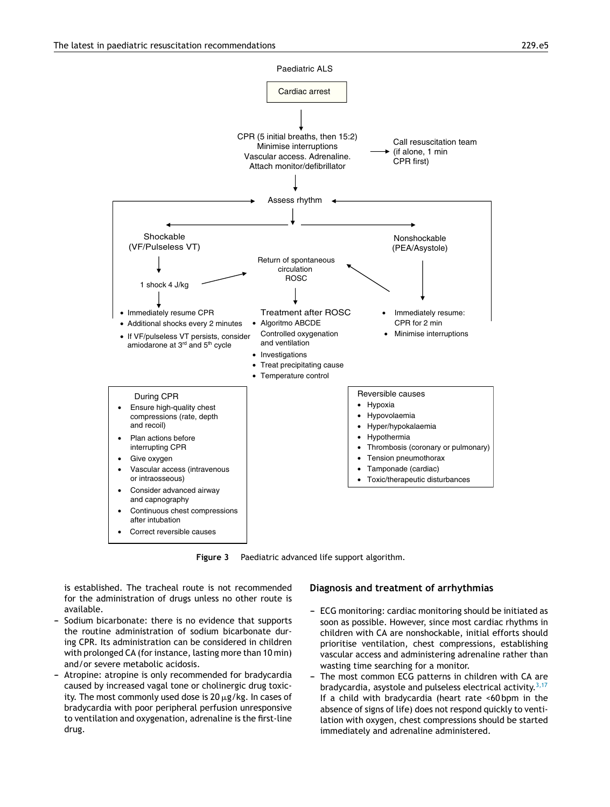<span id="page-4-0"></span>

**Figure 3** Paediatric advanced life support algorithm.

is established. The tracheal route is not recommended for the administration of drugs unless no other route is available.

- Sodium bicarbonate: there is no evidence that supports the routine administration of sodium bicarbonate during CPR. Its administration can be considered in children with prolonged CA (for instance, lasting more than 10 min) and/or severe metabolic acidosis.
- Atropine: atropine is only recommended for bradycardia caused by increased vagal tone or cholinergic drug toxicity. The most commonly used dose is 20  $\mu$ g/kg. In cases of bradycardia with poor peripheral perfusion unresponsive to ventilation and oxygenation, adrenaline is the first-line drug.

#### **Diagnosis and treatment of arrhythmias**

- ECG monitoring: cardiac monitoring should be initiated as soon as possible. However, since most cardiac rhythms in children with CA are nonshockable, initial efforts should prioritise ventilation, chest compressions, establishing vascular access and administering adrenaline rather than wasting time searching for a monitor.
- The most common ECG patterns in children with CA are bradycardia, asystole and pulseless electrical activity.<sup>[3,17](#page-7-0)</sup> If a child with bradycardia (heart rate <60 bpm in the absence of signs of life) does not respond quickly to ventilation with oxygen, chest compressions should be started immediately and adrenaline administered.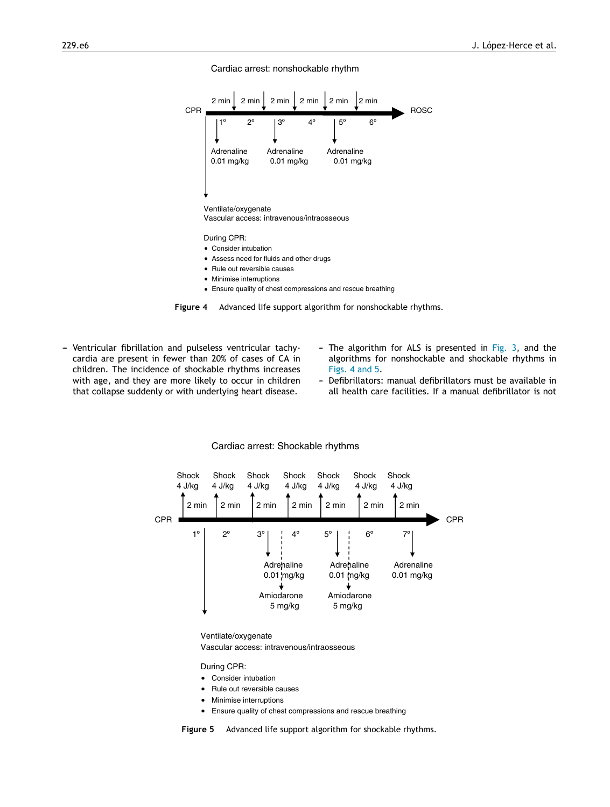#### Cardiac arrest: nonshockable rhythm



- Minimise interruptions
- Ensure quality of chest compressions and rescue breathing



- Ventricular fibrillation and pulseless ventricular tachycardia are present in fewer than 20% of cases of CA in children. The incidence of shockable rhythms increases with age, and they are more likely to occur in children that collapse suddenly or with underlying heart disease.
- The algorithm for ALS is presented in [Fig.](#page-4-0) 3, and the algorithms for nonshockable and shockable rhythms in Figs. 4 and 5.
- Defibrillators: manual defibrillators must be available in all health care facilities. If a manual defibrillator is not



#### Cardiac arrest: Shockable rhythms

Ventilate/oxygenate Vascular access: intravenous/intraosseous

During CPR:

- Consider intubation
- Rule out reversible causes
- Minimise interruptions
- Ensure quality of chest compressions and rescue breathing

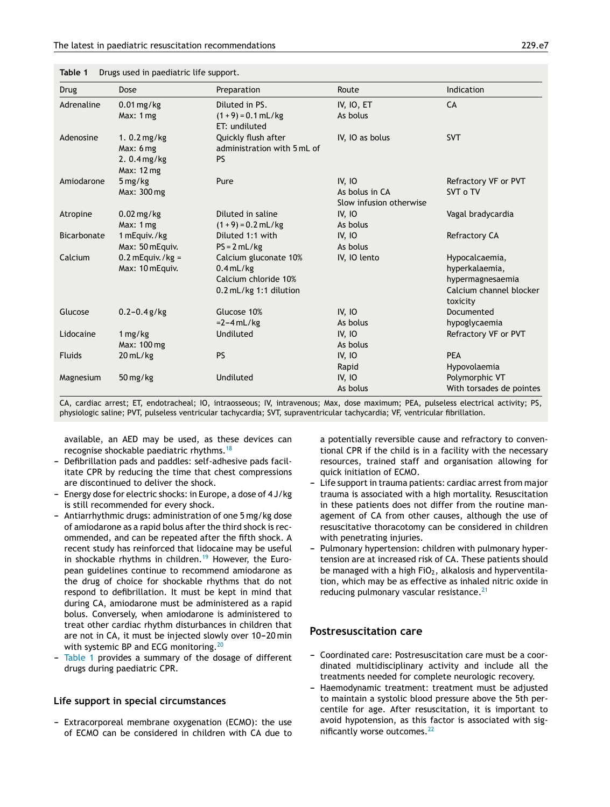| <b>Drug</b>        | Dose                      | Preparation                 | Route                   | Indication               |
|--------------------|---------------------------|-----------------------------|-------------------------|--------------------------|
| Adrenaline         | $0.01$ mg/kg              | Diluted in PS.              | IV, IO, ET              | CA                       |
|                    | Max: 1 mg                 | $(1 + 9) = 0.1$ mL/kg       | As bolus                |                          |
|                    |                           | ET: undiluted               |                         |                          |
| Adenosine          | 1. $0.2 \,\mathrm{mg/kg}$ | Quickly flush after         | IV, IO as bolus         | <b>SVT</b>               |
|                    | Max: 6mg                  | administration with 5 mL of |                         |                          |
|                    | 2.0.4 mg/kg               | <b>PS</b>                   |                         |                          |
|                    | Max: 12 mg                |                             |                         |                          |
| Amiodarone         | $5 \,\mathrm{mg/kg}$      | Pure                        | <b>IV, IO</b>           | Refractory VF or PVT     |
|                    | Max: 300 mg               |                             | As bolus in CA          | SVT o TV                 |
|                    |                           |                             | Slow infusion otherwise |                          |
| Atropine           | $0.02$ mg/kg              | Diluted in saline           | IV, IO                  | Vagal bradycardia        |
|                    | Max: 1 mg                 | $(1 + 9) = 0.2$ mL/kg       | As bolus                |                          |
| <b>Bicarbonate</b> | 1 mEquiv./kg              | Diluted 1:1 with            | <b>IV, IO</b>           | Refractory CA            |
|                    | Max: 50 mEquiv.           | $PS = 2 mL/kg$              | As bolus                |                          |
| Calcium            | $0.2$ mEquiv. /kg =       | Calcium gluconate 10%       | IV, IO lento            | Hypocalcaemia,           |
|                    | Max: 10 mEquiv.           | $0.4$ mL/kg                 |                         | hyperkalaemia,           |
|                    |                           | Calcium chloride 10%        |                         | hypermagnesaemia         |
|                    |                           | 0.2 mL/kg 1:1 dilution      |                         | Calcium channel blocker  |
|                    |                           |                             |                         | toxicity                 |
| Glucose            | $0.2 - 0.4$ g/kg          | Glucose 10%                 | IV, IO                  | Documented               |
|                    |                           | $=2-4$ mL/kg                | As bolus                | hypoglycaemia            |
| Lidocaine          | 1 mg/kg                   | Undiluted                   | <b>IV, IO</b>           | Refractory VF or PVT     |
|                    | Max: 100 mg               |                             | As bolus                |                          |
| <b>Fluids</b>      | 20 mL/kg                  | <b>PS</b>                   | IV, IO                  | <b>PEA</b>               |
|                    |                           |                             | Rapid                   | Hypovolaemia             |
| Magnesium          | $50 \,\mathrm{mg/kg}$     | Undiluted                   | <b>IV, IO</b>           | Polymorphic VT           |
|                    |                           |                             | As bolus                | With torsades de pointes |

**Table 1** Drugs used in paediatric life support.

CA, cardiac arrest; ET, endotracheal; IO, intraosseous; IV, intravenous; Max, dose maximum; PEA, pulseless electrical activity; PS, physiologic saline; PVT, pulseless ventricular tachycardia; SVT, supraventricular tachycardia; VF, ventricular fibrillation.

available, an AED may be used, as these devices can recognise shockable paediatric rhythms.[18](#page-8-0)

- Defibrillation pads and paddles: self-adhesive pads facilitate CPR by reducing the time that chest compressions are discontinued to deliver the shock.
- Energy dose for electric shocks: in Europe, a dose of 4 J/kg is still recommended for every shock.
- Antiarrhythmic drugs: administration of one 5 mg/kg dose of amiodarone as a rapid bolus after the third shock is recommended, and can be repeated after the fifth shock. A recent study has reinforced that lidocaine may be useful in shockable rhythms in children.<sup>[19](#page-8-0)</sup> However, the European guidelines continue to recommend amiodarone as the drug of choice for shockable rhythms that do not respond to defibrillation. It must be kept in mind that during CA, amiodarone must be administered as a rapid bolus. Conversely, when amiodarone is administered to treat other cardiac rhythm disturbances in children that are not in CA, it must be injected slowly over 10-20 min with systemic BP and ECG monitoring.<sup>[20](#page-8-0)</sup>
- Table 1 provides a summary of the dosage of different drugs during paediatric CPR.

#### **Life support in special circumstances**

- Extracorporeal membrane oxygenation (ECMO): the use of ECMO can be considered in children with CA due to a potentially reversible cause and refractory to conventional CPR if the child is in a facility with the necessary resources, trained staff and organisation allowing for quick initiation of ECMO.

- Life support in trauma patients: cardiac arrest from major trauma is associated with a high mortality. Resuscitation in these patients does not differ from the routine management of CA from other causes, although the use of resuscitative thoracotomy can be considered in children with penetrating injuries.
- Pulmonary hypertension: children with pulmonary hypertension are at increased risk of CA. These patients should be managed with a high  $FiO<sub>2</sub>$ , alkalosis and hyperventilation, which may be as effective as inhaled nitric oxide in reducing pulmonary vascular resistance.<sup>[21](#page-8-0)</sup>

#### **Postresuscitation care**

- Coordinated care: Postresuscitation care must be a coordinated multidisciplinary activity and include all the treatments needed for complete neurologic recovery.
- Haemodynamic treatment: treatment must be adjusted to maintain a systolic blood pressure above the 5th percentile for age. After resuscitation, it is important to avoid hypotension, as this factor is associated with sig-nificantly worse outcomes.<sup>[22](#page-8-0)</sup>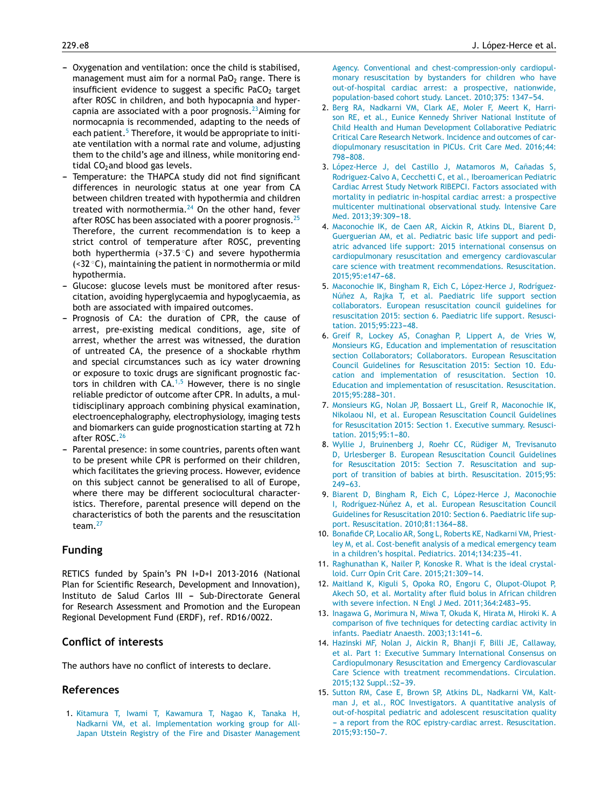- <span id="page-7-0"></span>- Oxygenation and ventilation: once the child is stabilised, management must aim for a normal PaO<sub>2</sub> range. There is insufficient evidence to suggest a specific PaCO<sub>2</sub> target after ROSC in children, and both hypocapnia and hyper-capnia are associated with a poor prognosis.<sup>[23](#page-8-0)</sup>Aiming for normocapnia is recommended, adapting to the needs of each patient.<sup>5</sup> Therefore, it would be appropriate to initiate ventilation with a normal rate and volume, adjusting them to the child's age and illness, while monitoring endtidal  $CO<sub>2</sub>$  and blood gas levels.
- Temperature: the THAPCA study did not find significant differences in neurologic status at one year from CA between children treated with hypothermia and children treated with normothermia. $^{24}$  $^{24}$  $^{24}$  On the other hand, fever after ROSC has been associated with a poorer prognosis.<sup>[25](#page-8-0)</sup> Therefore, the current recommendation is to keep a strict control of temperature after ROSC, preventing both hyperthermia  $(>37.5\degree C)$  and severe hypothermia (<32 ◦C), maintaining the patient in normothermia or mild hypothermia.
- Glucose: glucose levels must be monitored after resuscitation, avoiding hyperglycaemia and hypoglycaemia, as both are associated with impaired outcomes.
- Prognosis of CA: the duration of CPR, the cause of arrest, pre-existing medical conditions, age, site of arrest, whether the arrest was witnessed, the duration of untreated CA, the presence of a shockable rhythm and special circumstances such as icy water drowning or exposure to toxic drugs are significant prognostic factors in children with  $CA.^{1,5}$  However, there is no single reliable predictor of outcome after CPR. In adults, a multidisciplinary approach combining physical examination, electroencephalography, electrophysiology, imaging tests and biomarkers can guide prognostication starting at 72 h after ROSC.[26](#page-8-0)
- Parental presence: in some countries, parents often want to be present while CPR is performed on their children, which facilitates the grieving process. However, evidence on this subject cannot be generalised to all of Europe, where there may be different sociocultural characteristics. Therefore, parental presence will depend on the characteristics of both the parents and the resuscitation team. $27$

# **Funding**

RETICS funded by Spain's PN I+D+I 2013-2016 (National Plan for Scientific Research, Development and Innovation), Instituto de Salud Carlos III - Sub-Directorate General for Research Assessment and Promotion and the European Regional Development Fund (ERDF), ref. RD16/0022.

# **Conflict of interests**

The authors have no conflict of interests to declare.

# **References**

1. [Kitamura](http://refhub.elsevier.com/S2341-2879(17)30026-1/sbref0140) [T,](http://refhub.elsevier.com/S2341-2879(17)30026-1/sbref0140) [Iwami](http://refhub.elsevier.com/S2341-2879(17)30026-1/sbref0140) [T,](http://refhub.elsevier.com/S2341-2879(17)30026-1/sbref0140) [Kawamura](http://refhub.elsevier.com/S2341-2879(17)30026-1/sbref0140) [T,](http://refhub.elsevier.com/S2341-2879(17)30026-1/sbref0140) [Nagao](http://refhub.elsevier.com/S2341-2879(17)30026-1/sbref0140) [K,](http://refhub.elsevier.com/S2341-2879(17)30026-1/sbref0140) [Tanaka](http://refhub.elsevier.com/S2341-2879(17)30026-1/sbref0140) [H,](http://refhub.elsevier.com/S2341-2879(17)30026-1/sbref0140) [Nadkarni](http://refhub.elsevier.com/S2341-2879(17)30026-1/sbref0140) [VM,](http://refhub.elsevier.com/S2341-2879(17)30026-1/sbref0140) [et](http://refhub.elsevier.com/S2341-2879(17)30026-1/sbref0140) [al.](http://refhub.elsevier.com/S2341-2879(17)30026-1/sbref0140) [Implementation](http://refhub.elsevier.com/S2341-2879(17)30026-1/sbref0140) [working](http://refhub.elsevier.com/S2341-2879(17)30026-1/sbref0140) [group](http://refhub.elsevier.com/S2341-2879(17)30026-1/sbref0140) [for](http://refhub.elsevier.com/S2341-2879(17)30026-1/sbref0140) [All-](http://refhub.elsevier.com/S2341-2879(17)30026-1/sbref0140)[Japan](http://refhub.elsevier.com/S2341-2879(17)30026-1/sbref0140) [Utstein](http://refhub.elsevier.com/S2341-2879(17)30026-1/sbref0140) [Registry](http://refhub.elsevier.com/S2341-2879(17)30026-1/sbref0140) [of](http://refhub.elsevier.com/S2341-2879(17)30026-1/sbref0140) [the](http://refhub.elsevier.com/S2341-2879(17)30026-1/sbref0140) [Fire](http://refhub.elsevier.com/S2341-2879(17)30026-1/sbref0140) [and](http://refhub.elsevier.com/S2341-2879(17)30026-1/sbref0140) [Disaster](http://refhub.elsevier.com/S2341-2879(17)30026-1/sbref0140) [Management](http://refhub.elsevier.com/S2341-2879(17)30026-1/sbref0140) [Agency.](http://refhub.elsevier.com/S2341-2879(17)30026-1/sbref0140) [Conventional](http://refhub.elsevier.com/S2341-2879(17)30026-1/sbref0140) [and](http://refhub.elsevier.com/S2341-2879(17)30026-1/sbref0140) [chest-compression-only](http://refhub.elsevier.com/S2341-2879(17)30026-1/sbref0140) [cardiopul](http://refhub.elsevier.com/S2341-2879(17)30026-1/sbref0140)[monary](http://refhub.elsevier.com/S2341-2879(17)30026-1/sbref0140) [resuscitation](http://refhub.elsevier.com/S2341-2879(17)30026-1/sbref0140) [by](http://refhub.elsevier.com/S2341-2879(17)30026-1/sbref0140) [bystanders](http://refhub.elsevier.com/S2341-2879(17)30026-1/sbref0140) [for](http://refhub.elsevier.com/S2341-2879(17)30026-1/sbref0140) [children](http://refhub.elsevier.com/S2341-2879(17)30026-1/sbref0140) [who](http://refhub.elsevier.com/S2341-2879(17)30026-1/sbref0140) [have](http://refhub.elsevier.com/S2341-2879(17)30026-1/sbref0140) [out-of-hospital](http://refhub.elsevier.com/S2341-2879(17)30026-1/sbref0140) [cardiac](http://refhub.elsevier.com/S2341-2879(17)30026-1/sbref0140) [arrest:](http://refhub.elsevier.com/S2341-2879(17)30026-1/sbref0140) [a](http://refhub.elsevier.com/S2341-2879(17)30026-1/sbref0140) [prospective,](http://refhub.elsevier.com/S2341-2879(17)30026-1/sbref0140) [nationwide,](http://refhub.elsevier.com/S2341-2879(17)30026-1/sbref0140) [population-based](http://refhub.elsevier.com/S2341-2879(17)30026-1/sbref0140) [cohort](http://refhub.elsevier.com/S2341-2879(17)30026-1/sbref0140) [study.](http://refhub.elsevier.com/S2341-2879(17)30026-1/sbref0140) [Lancet.](http://refhub.elsevier.com/S2341-2879(17)30026-1/sbref0140) [2010;375:](http://refhub.elsevier.com/S2341-2879(17)30026-1/sbref0140) 1347-54.

- 2. [Berg](http://refhub.elsevier.com/S2341-2879(17)30026-1/sbref0145) [RA,](http://refhub.elsevier.com/S2341-2879(17)30026-1/sbref0145) [Nadkarni](http://refhub.elsevier.com/S2341-2879(17)30026-1/sbref0145) [VM,](http://refhub.elsevier.com/S2341-2879(17)30026-1/sbref0145) [Clark](http://refhub.elsevier.com/S2341-2879(17)30026-1/sbref0145) [AE,](http://refhub.elsevier.com/S2341-2879(17)30026-1/sbref0145) [Moler](http://refhub.elsevier.com/S2341-2879(17)30026-1/sbref0145) [F,](http://refhub.elsevier.com/S2341-2879(17)30026-1/sbref0145) [Meert](http://refhub.elsevier.com/S2341-2879(17)30026-1/sbref0145) [K,](http://refhub.elsevier.com/S2341-2879(17)30026-1/sbref0145) [Harri](http://refhub.elsevier.com/S2341-2879(17)30026-1/sbref0145)[son](http://refhub.elsevier.com/S2341-2879(17)30026-1/sbref0145) [RE,](http://refhub.elsevier.com/S2341-2879(17)30026-1/sbref0145) [et](http://refhub.elsevier.com/S2341-2879(17)30026-1/sbref0145) [al.,](http://refhub.elsevier.com/S2341-2879(17)30026-1/sbref0145) [Eunice](http://refhub.elsevier.com/S2341-2879(17)30026-1/sbref0145) [Kennedy](http://refhub.elsevier.com/S2341-2879(17)30026-1/sbref0145) [Shriver](http://refhub.elsevier.com/S2341-2879(17)30026-1/sbref0145) [National](http://refhub.elsevier.com/S2341-2879(17)30026-1/sbref0145) [Institute](http://refhub.elsevier.com/S2341-2879(17)30026-1/sbref0145) [of](http://refhub.elsevier.com/S2341-2879(17)30026-1/sbref0145) [Child](http://refhub.elsevier.com/S2341-2879(17)30026-1/sbref0145) [Health](http://refhub.elsevier.com/S2341-2879(17)30026-1/sbref0145) [and](http://refhub.elsevier.com/S2341-2879(17)30026-1/sbref0145) [Human](http://refhub.elsevier.com/S2341-2879(17)30026-1/sbref0145) [Development](http://refhub.elsevier.com/S2341-2879(17)30026-1/sbref0145) [Collaborative](http://refhub.elsevier.com/S2341-2879(17)30026-1/sbref0145) [Pediatric](http://refhub.elsevier.com/S2341-2879(17)30026-1/sbref0145) [Critical](http://refhub.elsevier.com/S2341-2879(17)30026-1/sbref0145) [Care](http://refhub.elsevier.com/S2341-2879(17)30026-1/sbref0145) [Research](http://refhub.elsevier.com/S2341-2879(17)30026-1/sbref0145) [Network.](http://refhub.elsevier.com/S2341-2879(17)30026-1/sbref0145) [Incidence](http://refhub.elsevier.com/S2341-2879(17)30026-1/sbref0145) [and](http://refhub.elsevier.com/S2341-2879(17)30026-1/sbref0145) [outcomes](http://refhub.elsevier.com/S2341-2879(17)30026-1/sbref0145) [of](http://refhub.elsevier.com/S2341-2879(17)30026-1/sbref0145) [car](http://refhub.elsevier.com/S2341-2879(17)30026-1/sbref0145)[diopulmonary](http://refhub.elsevier.com/S2341-2879(17)30026-1/sbref0145) [resuscitation](http://refhub.elsevier.com/S2341-2879(17)30026-1/sbref0145) [in](http://refhub.elsevier.com/S2341-2879(17)30026-1/sbref0145) [PICUs.](http://refhub.elsevier.com/S2341-2879(17)30026-1/sbref0145) [Crit](http://refhub.elsevier.com/S2341-2879(17)30026-1/sbref0145) [Care](http://refhub.elsevier.com/S2341-2879(17)30026-1/sbref0145) [Med.](http://refhub.elsevier.com/S2341-2879(17)30026-1/sbref0145) [2016;44:](http://refhub.elsevier.com/S2341-2879(17)30026-1/sbref0145) 798-808
- 3. [López-Herce](http://refhub.elsevier.com/S2341-2879(17)30026-1/sbref0150) [J,](http://refhub.elsevier.com/S2341-2879(17)30026-1/sbref0150) [del](http://refhub.elsevier.com/S2341-2879(17)30026-1/sbref0150) [Castillo](http://refhub.elsevier.com/S2341-2879(17)30026-1/sbref0150) J, [Matamoros](http://refhub.elsevier.com/S2341-2879(17)30026-1/sbref0150) [M,](http://refhub.elsevier.com/S2341-2879(17)30026-1/sbref0150) Cañadas [S,](http://refhub.elsevier.com/S2341-2879(17)30026-1/sbref0150) [Rodriguez-Calvo](http://refhub.elsevier.com/S2341-2879(17)30026-1/sbref0150) [A,](http://refhub.elsevier.com/S2341-2879(17)30026-1/sbref0150) [Cecchetti](http://refhub.elsevier.com/S2341-2879(17)30026-1/sbref0150) [C,](http://refhub.elsevier.com/S2341-2879(17)30026-1/sbref0150) [et](http://refhub.elsevier.com/S2341-2879(17)30026-1/sbref0150) [al.,](http://refhub.elsevier.com/S2341-2879(17)30026-1/sbref0150) [Iberoamerican](http://refhub.elsevier.com/S2341-2879(17)30026-1/sbref0150) [Pediatric](http://refhub.elsevier.com/S2341-2879(17)30026-1/sbref0150) [Cardiac](http://refhub.elsevier.com/S2341-2879(17)30026-1/sbref0150) [Arrest](http://refhub.elsevier.com/S2341-2879(17)30026-1/sbref0150) [Study](http://refhub.elsevier.com/S2341-2879(17)30026-1/sbref0150) [Network](http://refhub.elsevier.com/S2341-2879(17)30026-1/sbref0150) [RIBEPCI.](http://refhub.elsevier.com/S2341-2879(17)30026-1/sbref0150) [Factors](http://refhub.elsevier.com/S2341-2879(17)30026-1/sbref0150) [associated](http://refhub.elsevier.com/S2341-2879(17)30026-1/sbref0150) [with](http://refhub.elsevier.com/S2341-2879(17)30026-1/sbref0150) [mortality](http://refhub.elsevier.com/S2341-2879(17)30026-1/sbref0150) [in](http://refhub.elsevier.com/S2341-2879(17)30026-1/sbref0150) [pediatric](http://refhub.elsevier.com/S2341-2879(17)30026-1/sbref0150) [in-hospital](http://refhub.elsevier.com/S2341-2879(17)30026-1/sbref0150) [cardiac](http://refhub.elsevier.com/S2341-2879(17)30026-1/sbref0150) [arrest:](http://refhub.elsevier.com/S2341-2879(17)30026-1/sbref0150) [a](http://refhub.elsevier.com/S2341-2879(17)30026-1/sbref0150) [prospective](http://refhub.elsevier.com/S2341-2879(17)30026-1/sbref0150) [multicenter](http://refhub.elsevier.com/S2341-2879(17)30026-1/sbref0150) [multinational](http://refhub.elsevier.com/S2341-2879(17)30026-1/sbref0150) [observational](http://refhub.elsevier.com/S2341-2879(17)30026-1/sbref0150) [study.](http://refhub.elsevier.com/S2341-2879(17)30026-1/sbref0150) [Intensive](http://refhub.elsevier.com/S2341-2879(17)30026-1/sbref0150) [Care](http://refhub.elsevier.com/S2341-2879(17)30026-1/sbref0150) [Med.](http://refhub.elsevier.com/S2341-2879(17)30026-1/sbref0150) [2013;39:309](http://refhub.elsevier.com/S2341-2879(17)30026-1/sbref0150)-[18.](http://refhub.elsevier.com/S2341-2879(17)30026-1/sbref0150)
- 4. [Maconochie](http://refhub.elsevier.com/S2341-2879(17)30026-1/sbref0155) [IK,](http://refhub.elsevier.com/S2341-2879(17)30026-1/sbref0155) [de](http://refhub.elsevier.com/S2341-2879(17)30026-1/sbref0155) [Caen](http://refhub.elsevier.com/S2341-2879(17)30026-1/sbref0155) [AR,](http://refhub.elsevier.com/S2341-2879(17)30026-1/sbref0155) [Aickin](http://refhub.elsevier.com/S2341-2879(17)30026-1/sbref0155) [R,](http://refhub.elsevier.com/S2341-2879(17)30026-1/sbref0155) [Atkins](http://refhub.elsevier.com/S2341-2879(17)30026-1/sbref0155) [DL,](http://refhub.elsevier.com/S2341-2879(17)30026-1/sbref0155) [Biarent](http://refhub.elsevier.com/S2341-2879(17)30026-1/sbref0155) [D,](http://refhub.elsevier.com/S2341-2879(17)30026-1/sbref0155) [Guerguerian](http://refhub.elsevier.com/S2341-2879(17)30026-1/sbref0155) [AM,](http://refhub.elsevier.com/S2341-2879(17)30026-1/sbref0155) [et](http://refhub.elsevier.com/S2341-2879(17)30026-1/sbref0155) [al.](http://refhub.elsevier.com/S2341-2879(17)30026-1/sbref0155) [Pediatric](http://refhub.elsevier.com/S2341-2879(17)30026-1/sbref0155) [basic](http://refhub.elsevier.com/S2341-2879(17)30026-1/sbref0155) [life](http://refhub.elsevier.com/S2341-2879(17)30026-1/sbref0155) [support](http://refhub.elsevier.com/S2341-2879(17)30026-1/sbref0155) [and](http://refhub.elsevier.com/S2341-2879(17)30026-1/sbref0155) [pedi](http://refhub.elsevier.com/S2341-2879(17)30026-1/sbref0155)[atric](http://refhub.elsevier.com/S2341-2879(17)30026-1/sbref0155) [advanced](http://refhub.elsevier.com/S2341-2879(17)30026-1/sbref0155) [life](http://refhub.elsevier.com/S2341-2879(17)30026-1/sbref0155) [support:](http://refhub.elsevier.com/S2341-2879(17)30026-1/sbref0155) [2015](http://refhub.elsevier.com/S2341-2879(17)30026-1/sbref0155) [international](http://refhub.elsevier.com/S2341-2879(17)30026-1/sbref0155) [consensus](http://refhub.elsevier.com/S2341-2879(17)30026-1/sbref0155) [on](http://refhub.elsevier.com/S2341-2879(17)30026-1/sbref0155) [cardiopulmonary](http://refhub.elsevier.com/S2341-2879(17)30026-1/sbref0155) [resuscitation](http://refhub.elsevier.com/S2341-2879(17)30026-1/sbref0155) [and](http://refhub.elsevier.com/S2341-2879(17)30026-1/sbref0155) [emergency](http://refhub.elsevier.com/S2341-2879(17)30026-1/sbref0155) [cardiovascular](http://refhub.elsevier.com/S2341-2879(17)30026-1/sbref0155) [care](http://refhub.elsevier.com/S2341-2879(17)30026-1/sbref0155) [science](http://refhub.elsevier.com/S2341-2879(17)30026-1/sbref0155) [with](http://refhub.elsevier.com/S2341-2879(17)30026-1/sbref0155) [treatment](http://refhub.elsevier.com/S2341-2879(17)30026-1/sbref0155) [recommendations.](http://refhub.elsevier.com/S2341-2879(17)30026-1/sbref0155) [Resuscitation.](http://refhub.elsevier.com/S2341-2879(17)30026-1/sbref0155) 2015;95:e147-68.
- 5. [Maconochie](http://refhub.elsevier.com/S2341-2879(17)30026-1/sbref0160) [IK,](http://refhub.elsevier.com/S2341-2879(17)30026-1/sbref0160) [Bingham](http://refhub.elsevier.com/S2341-2879(17)30026-1/sbref0160) [R,](http://refhub.elsevier.com/S2341-2879(17)30026-1/sbref0160) [Eich](http://refhub.elsevier.com/S2341-2879(17)30026-1/sbref0160) [C,](http://refhub.elsevier.com/S2341-2879(17)30026-1/sbref0160) [López-Herce](http://refhub.elsevier.com/S2341-2879(17)30026-1/sbref0160) [J,](http://refhub.elsevier.com/S2341-2879(17)30026-1/sbref0160) [Rodríguez-](http://refhub.elsevier.com/S2341-2879(17)30026-1/sbref0160)Núñez [A,](http://refhub.elsevier.com/S2341-2879(17)30026-1/sbref0160) [Rajka](http://refhub.elsevier.com/S2341-2879(17)30026-1/sbref0160) [T,](http://refhub.elsevier.com/S2341-2879(17)30026-1/sbref0160) [et](http://refhub.elsevier.com/S2341-2879(17)30026-1/sbref0160) [al.](http://refhub.elsevier.com/S2341-2879(17)30026-1/sbref0160) [Paediatric](http://refhub.elsevier.com/S2341-2879(17)30026-1/sbref0160) [life](http://refhub.elsevier.com/S2341-2879(17)30026-1/sbref0160) [support](http://refhub.elsevier.com/S2341-2879(17)30026-1/sbref0160) [section](http://refhub.elsevier.com/S2341-2879(17)30026-1/sbref0160) [collaborators.](http://refhub.elsevier.com/S2341-2879(17)30026-1/sbref0160) [European](http://refhub.elsevier.com/S2341-2879(17)30026-1/sbref0160) [resuscitation](http://refhub.elsevier.com/S2341-2879(17)30026-1/sbref0160) [council](http://refhub.elsevier.com/S2341-2879(17)30026-1/sbref0160) [guidelines](http://refhub.elsevier.com/S2341-2879(17)30026-1/sbref0160) [for](http://refhub.elsevier.com/S2341-2879(17)30026-1/sbref0160) [resuscitation](http://refhub.elsevier.com/S2341-2879(17)30026-1/sbref0160) [2015:](http://refhub.elsevier.com/S2341-2879(17)30026-1/sbref0160) [section](http://refhub.elsevier.com/S2341-2879(17)30026-1/sbref0160) [6.](http://refhub.elsevier.com/S2341-2879(17)30026-1/sbref0160) [Paediatric](http://refhub.elsevier.com/S2341-2879(17)30026-1/sbref0160) [life](http://refhub.elsevier.com/S2341-2879(17)30026-1/sbref0160) [support.](http://refhub.elsevier.com/S2341-2879(17)30026-1/sbref0160) [Resusci](http://refhub.elsevier.com/S2341-2879(17)30026-1/sbref0160)[tation.](http://refhub.elsevier.com/S2341-2879(17)30026-1/sbref0160) 2015;95:223-48.
- 6. [Greif](http://refhub.elsevier.com/S2341-2879(17)30026-1/sbref0165) [R,](http://refhub.elsevier.com/S2341-2879(17)30026-1/sbref0165) [Lockey](http://refhub.elsevier.com/S2341-2879(17)30026-1/sbref0165) [AS,](http://refhub.elsevier.com/S2341-2879(17)30026-1/sbref0165) [Conaghan](http://refhub.elsevier.com/S2341-2879(17)30026-1/sbref0165) [P,](http://refhub.elsevier.com/S2341-2879(17)30026-1/sbref0165) [Lippert](http://refhub.elsevier.com/S2341-2879(17)30026-1/sbref0165) [A,](http://refhub.elsevier.com/S2341-2879(17)30026-1/sbref0165) [de](http://refhub.elsevier.com/S2341-2879(17)30026-1/sbref0165) [Vries](http://refhub.elsevier.com/S2341-2879(17)30026-1/sbref0165) [W,](http://refhub.elsevier.com/S2341-2879(17)30026-1/sbref0165) [Monsieurs](http://refhub.elsevier.com/S2341-2879(17)30026-1/sbref0165) [KG,](http://refhub.elsevier.com/S2341-2879(17)30026-1/sbref0165) [Education](http://refhub.elsevier.com/S2341-2879(17)30026-1/sbref0165) [and](http://refhub.elsevier.com/S2341-2879(17)30026-1/sbref0165) [implementation](http://refhub.elsevier.com/S2341-2879(17)30026-1/sbref0165) [of](http://refhub.elsevier.com/S2341-2879(17)30026-1/sbref0165) [resuscitation](http://refhub.elsevier.com/S2341-2879(17)30026-1/sbref0165) [section](http://refhub.elsevier.com/S2341-2879(17)30026-1/sbref0165) [Collaborators;](http://refhub.elsevier.com/S2341-2879(17)30026-1/sbref0165) [Collaborators.](http://refhub.elsevier.com/S2341-2879(17)30026-1/sbref0165) [European](http://refhub.elsevier.com/S2341-2879(17)30026-1/sbref0165) [Resuscitation](http://refhub.elsevier.com/S2341-2879(17)30026-1/sbref0165) [Council](http://refhub.elsevier.com/S2341-2879(17)30026-1/sbref0165) [Guidelines](http://refhub.elsevier.com/S2341-2879(17)30026-1/sbref0165) [for](http://refhub.elsevier.com/S2341-2879(17)30026-1/sbref0165) [Resuscitation](http://refhub.elsevier.com/S2341-2879(17)30026-1/sbref0165) [2015:](http://refhub.elsevier.com/S2341-2879(17)30026-1/sbref0165) [Section](http://refhub.elsevier.com/S2341-2879(17)30026-1/sbref0165) [10.](http://refhub.elsevier.com/S2341-2879(17)30026-1/sbref0165) [Edu](http://refhub.elsevier.com/S2341-2879(17)30026-1/sbref0165)[cation](http://refhub.elsevier.com/S2341-2879(17)30026-1/sbref0165) [and](http://refhub.elsevier.com/S2341-2879(17)30026-1/sbref0165) [implementation](http://refhub.elsevier.com/S2341-2879(17)30026-1/sbref0165) [of](http://refhub.elsevier.com/S2341-2879(17)30026-1/sbref0165) [resuscitation.](http://refhub.elsevier.com/S2341-2879(17)30026-1/sbref0165) [Section](http://refhub.elsevier.com/S2341-2879(17)30026-1/sbref0165) [10.](http://refhub.elsevier.com/S2341-2879(17)30026-1/sbref0165) [Education](http://refhub.elsevier.com/S2341-2879(17)30026-1/sbref0165) [and](http://refhub.elsevier.com/S2341-2879(17)30026-1/sbref0165) [implementation](http://refhub.elsevier.com/S2341-2879(17)30026-1/sbref0165) [of](http://refhub.elsevier.com/S2341-2879(17)30026-1/sbref0165) [resuscitation.](http://refhub.elsevier.com/S2341-2879(17)30026-1/sbref0165) [Resuscitation.](http://refhub.elsevier.com/S2341-2879(17)30026-1/sbref0165) 2015;95:288-301.
- 7. [Monsieurs](http://refhub.elsevier.com/S2341-2879(17)30026-1/sbref0170) [KG,](http://refhub.elsevier.com/S2341-2879(17)30026-1/sbref0170) [Nolan](http://refhub.elsevier.com/S2341-2879(17)30026-1/sbref0170) [JP,](http://refhub.elsevier.com/S2341-2879(17)30026-1/sbref0170) [Bossaert](http://refhub.elsevier.com/S2341-2879(17)30026-1/sbref0170) [LL,](http://refhub.elsevier.com/S2341-2879(17)30026-1/sbref0170) [Greif](http://refhub.elsevier.com/S2341-2879(17)30026-1/sbref0170) [R,](http://refhub.elsevier.com/S2341-2879(17)30026-1/sbref0170) [Maconochie](http://refhub.elsevier.com/S2341-2879(17)30026-1/sbref0170) [IK,](http://refhub.elsevier.com/S2341-2879(17)30026-1/sbref0170) [Nikolaou](http://refhub.elsevier.com/S2341-2879(17)30026-1/sbref0170) [NI,](http://refhub.elsevier.com/S2341-2879(17)30026-1/sbref0170) [et](http://refhub.elsevier.com/S2341-2879(17)30026-1/sbref0170) [al.](http://refhub.elsevier.com/S2341-2879(17)30026-1/sbref0170) [European](http://refhub.elsevier.com/S2341-2879(17)30026-1/sbref0170) [Resuscitation](http://refhub.elsevier.com/S2341-2879(17)30026-1/sbref0170) [Council](http://refhub.elsevier.com/S2341-2879(17)30026-1/sbref0170) [Guidelines](http://refhub.elsevier.com/S2341-2879(17)30026-1/sbref0170) [for](http://refhub.elsevier.com/S2341-2879(17)30026-1/sbref0170) [Resuscitation](http://refhub.elsevier.com/S2341-2879(17)30026-1/sbref0170) [2015:](http://refhub.elsevier.com/S2341-2879(17)30026-1/sbref0170) [Section](http://refhub.elsevier.com/S2341-2879(17)30026-1/sbref0170) [1.](http://refhub.elsevier.com/S2341-2879(17)30026-1/sbref0170) [Executive](http://refhub.elsevier.com/S2341-2879(17)30026-1/sbref0170) [summary.](http://refhub.elsevier.com/S2341-2879(17)30026-1/sbref0170) [Resusci](http://refhub.elsevier.com/S2341-2879(17)30026-1/sbref0170)[tation.](http://refhub.elsevier.com/S2341-2879(17)30026-1/sbref0170) 2015;95:1-80.
- 8. [Wyllie](http://refhub.elsevier.com/S2341-2879(17)30026-1/sbref0175) [J,](http://refhub.elsevier.com/S2341-2879(17)30026-1/sbref0175) [Bruinenberg](http://refhub.elsevier.com/S2341-2879(17)30026-1/sbref0175) [J,](http://refhub.elsevier.com/S2341-2879(17)30026-1/sbref0175) [Roehr](http://refhub.elsevier.com/S2341-2879(17)30026-1/sbref0175) [CC,](http://refhub.elsevier.com/S2341-2879(17)30026-1/sbref0175) [Rüdiger](http://refhub.elsevier.com/S2341-2879(17)30026-1/sbref0175) [M,](http://refhub.elsevier.com/S2341-2879(17)30026-1/sbref0175) [Trevisanuto](http://refhub.elsevier.com/S2341-2879(17)30026-1/sbref0175) [D,](http://refhub.elsevier.com/S2341-2879(17)30026-1/sbref0175) [Urlesberger](http://refhub.elsevier.com/S2341-2879(17)30026-1/sbref0175) [B.](http://refhub.elsevier.com/S2341-2879(17)30026-1/sbref0175) [European](http://refhub.elsevier.com/S2341-2879(17)30026-1/sbref0175) [Resuscitation](http://refhub.elsevier.com/S2341-2879(17)30026-1/sbref0175) [Council](http://refhub.elsevier.com/S2341-2879(17)30026-1/sbref0175) [Guidelines](http://refhub.elsevier.com/S2341-2879(17)30026-1/sbref0175) [for](http://refhub.elsevier.com/S2341-2879(17)30026-1/sbref0175) [Resuscitation](http://refhub.elsevier.com/S2341-2879(17)30026-1/sbref0175) [2015:](http://refhub.elsevier.com/S2341-2879(17)30026-1/sbref0175) [Section](http://refhub.elsevier.com/S2341-2879(17)30026-1/sbref0175) [7.](http://refhub.elsevier.com/S2341-2879(17)30026-1/sbref0175) [Resuscitation](http://refhub.elsevier.com/S2341-2879(17)30026-1/sbref0175) [and](http://refhub.elsevier.com/S2341-2879(17)30026-1/sbref0175) [sup](http://refhub.elsevier.com/S2341-2879(17)30026-1/sbref0175)[port](http://refhub.elsevier.com/S2341-2879(17)30026-1/sbref0175) [of](http://refhub.elsevier.com/S2341-2879(17)30026-1/sbref0175) [transition](http://refhub.elsevier.com/S2341-2879(17)30026-1/sbref0175) [of](http://refhub.elsevier.com/S2341-2879(17)30026-1/sbref0175) [babies](http://refhub.elsevier.com/S2341-2879(17)30026-1/sbref0175) [at](http://refhub.elsevier.com/S2341-2879(17)30026-1/sbref0175) [birth.](http://refhub.elsevier.com/S2341-2879(17)30026-1/sbref0175) [Resuscitation.](http://refhub.elsevier.com/S2341-2879(17)30026-1/sbref0175) [2015;95:](http://refhub.elsevier.com/S2341-2879(17)30026-1/sbref0175) [249-](http://refhub.elsevier.com/S2341-2879(17)30026-1/sbref0175)[63.](http://refhub.elsevier.com/S2341-2879(17)30026-1/sbref0175)
- 9. [Biarent](http://refhub.elsevier.com/S2341-2879(17)30026-1/sbref0180) [D,](http://refhub.elsevier.com/S2341-2879(17)30026-1/sbref0180) [Bingham](http://refhub.elsevier.com/S2341-2879(17)30026-1/sbref0180) [R,](http://refhub.elsevier.com/S2341-2879(17)30026-1/sbref0180) [Eich](http://refhub.elsevier.com/S2341-2879(17)30026-1/sbref0180) [C,](http://refhub.elsevier.com/S2341-2879(17)30026-1/sbref0180) [López-Herce](http://refhub.elsevier.com/S2341-2879(17)30026-1/sbref0180) [J,](http://refhub.elsevier.com/S2341-2879(17)30026-1/sbref0180) [Maconochie](http://refhub.elsevier.com/S2341-2879(17)30026-1/sbref0180) [I,](http://refhub.elsevier.com/S2341-2879(17)30026-1/sbref0180) Rodríguez-Núñez [A,](http://refhub.elsevier.com/S2341-2879(17)30026-1/sbref0180) [et](http://refhub.elsevier.com/S2341-2879(17)30026-1/sbref0180) [al.](http://refhub.elsevier.com/S2341-2879(17)30026-1/sbref0180) [European](http://refhub.elsevier.com/S2341-2879(17)30026-1/sbref0180) [Resuscitation](http://refhub.elsevier.com/S2341-2879(17)30026-1/sbref0180) [Council](http://refhub.elsevier.com/S2341-2879(17)30026-1/sbref0180) [Guidelines](http://refhub.elsevier.com/S2341-2879(17)30026-1/sbref0180) [for](http://refhub.elsevier.com/S2341-2879(17)30026-1/sbref0180) [Resuscitation](http://refhub.elsevier.com/S2341-2879(17)30026-1/sbref0180) [2010:](http://refhub.elsevier.com/S2341-2879(17)30026-1/sbref0180) [Section](http://refhub.elsevier.com/S2341-2879(17)30026-1/sbref0180) [6.](http://refhub.elsevier.com/S2341-2879(17)30026-1/sbref0180) [Paediatric](http://refhub.elsevier.com/S2341-2879(17)30026-1/sbref0180) [life](http://refhub.elsevier.com/S2341-2879(17)30026-1/sbref0180) [sup](http://refhub.elsevier.com/S2341-2879(17)30026-1/sbref0180)[port.](http://refhub.elsevier.com/S2341-2879(17)30026-1/sbref0180) [Resuscitation.](http://refhub.elsevier.com/S2341-2879(17)30026-1/sbref0180) 2010;81:1364-88.
- 10. [Bonafide](http://refhub.elsevier.com/S2341-2879(17)30026-1/sbref0185) [CP,](http://refhub.elsevier.com/S2341-2879(17)30026-1/sbref0185) [Localio](http://refhub.elsevier.com/S2341-2879(17)30026-1/sbref0185) [AR,](http://refhub.elsevier.com/S2341-2879(17)30026-1/sbref0185) [Song](http://refhub.elsevier.com/S2341-2879(17)30026-1/sbref0185) [L,](http://refhub.elsevier.com/S2341-2879(17)30026-1/sbref0185) [Roberts](http://refhub.elsevier.com/S2341-2879(17)30026-1/sbref0185) [KE,](http://refhub.elsevier.com/S2341-2879(17)30026-1/sbref0185) [Nadkarni](http://refhub.elsevier.com/S2341-2879(17)30026-1/sbref0185) [VM,](http://refhub.elsevier.com/S2341-2879(17)30026-1/sbref0185) [Priest](http://refhub.elsevier.com/S2341-2879(17)30026-1/sbref0185)[ley](http://refhub.elsevier.com/S2341-2879(17)30026-1/sbref0185) [M,](http://refhub.elsevier.com/S2341-2879(17)30026-1/sbref0185) [et](http://refhub.elsevier.com/S2341-2879(17)30026-1/sbref0185) [al.](http://refhub.elsevier.com/S2341-2879(17)30026-1/sbref0185) [Cost-benefit](http://refhub.elsevier.com/S2341-2879(17)30026-1/sbref0185) [analysis](http://refhub.elsevier.com/S2341-2879(17)30026-1/sbref0185) [of](http://refhub.elsevier.com/S2341-2879(17)30026-1/sbref0185) [a](http://refhub.elsevier.com/S2341-2879(17)30026-1/sbref0185) [medical](http://refhub.elsevier.com/S2341-2879(17)30026-1/sbref0185) [emergency](http://refhub.elsevier.com/S2341-2879(17)30026-1/sbref0185) [team](http://refhub.elsevier.com/S2341-2879(17)30026-1/sbref0185) [in](http://refhub.elsevier.com/S2341-2879(17)30026-1/sbref0185) [a](http://refhub.elsevier.com/S2341-2879(17)30026-1/sbref0185) [children's](http://refhub.elsevier.com/S2341-2879(17)30026-1/sbref0185) [hospital.](http://refhub.elsevier.com/S2341-2879(17)30026-1/sbref0185) [Pediatrics.](http://refhub.elsevier.com/S2341-2879(17)30026-1/sbref0185) 2014;134:235-41.
- 11. [Raghunathan](http://refhub.elsevier.com/S2341-2879(17)30026-1/sbref0190) [K,](http://refhub.elsevier.com/S2341-2879(17)30026-1/sbref0190) [Nailer](http://refhub.elsevier.com/S2341-2879(17)30026-1/sbref0190) [P,](http://refhub.elsevier.com/S2341-2879(17)30026-1/sbref0190) [Konoske](http://refhub.elsevier.com/S2341-2879(17)30026-1/sbref0190) [R.](http://refhub.elsevier.com/S2341-2879(17)30026-1/sbref0190) [What](http://refhub.elsevier.com/S2341-2879(17)30026-1/sbref0190) [is](http://refhub.elsevier.com/S2341-2879(17)30026-1/sbref0190) [the](http://refhub.elsevier.com/S2341-2879(17)30026-1/sbref0190) [ideal](http://refhub.elsevier.com/S2341-2879(17)30026-1/sbref0190) [crystal](http://refhub.elsevier.com/S2341-2879(17)30026-1/sbref0190)[loid.](http://refhub.elsevier.com/S2341-2879(17)30026-1/sbref0190) [Curr](http://refhub.elsevier.com/S2341-2879(17)30026-1/sbref0190) [Opin](http://refhub.elsevier.com/S2341-2879(17)30026-1/sbref0190) [Crit](http://refhub.elsevier.com/S2341-2879(17)30026-1/sbref0190) [Care.](http://refhub.elsevier.com/S2341-2879(17)30026-1/sbref0190) 2015;21:309-14.
- 12. [Maitland](http://refhub.elsevier.com/S2341-2879(17)30026-1/sbref0195) [K,](http://refhub.elsevier.com/S2341-2879(17)30026-1/sbref0195) [Kiguli](http://refhub.elsevier.com/S2341-2879(17)30026-1/sbref0195) [S,](http://refhub.elsevier.com/S2341-2879(17)30026-1/sbref0195) [Opoka](http://refhub.elsevier.com/S2341-2879(17)30026-1/sbref0195) [RO,](http://refhub.elsevier.com/S2341-2879(17)30026-1/sbref0195) [Engoru](http://refhub.elsevier.com/S2341-2879(17)30026-1/sbref0195) [C,](http://refhub.elsevier.com/S2341-2879(17)30026-1/sbref0195) [Olupot-Olupot](http://refhub.elsevier.com/S2341-2879(17)30026-1/sbref0195) [P,](http://refhub.elsevier.com/S2341-2879(17)30026-1/sbref0195) [Akech](http://refhub.elsevier.com/S2341-2879(17)30026-1/sbref0195) [SO,](http://refhub.elsevier.com/S2341-2879(17)30026-1/sbref0195) [et](http://refhub.elsevier.com/S2341-2879(17)30026-1/sbref0195) [al.](http://refhub.elsevier.com/S2341-2879(17)30026-1/sbref0195) [Mortality](http://refhub.elsevier.com/S2341-2879(17)30026-1/sbref0195) [after](http://refhub.elsevier.com/S2341-2879(17)30026-1/sbref0195) [fluid](http://refhub.elsevier.com/S2341-2879(17)30026-1/sbref0195) [bolus](http://refhub.elsevier.com/S2341-2879(17)30026-1/sbref0195) [in](http://refhub.elsevier.com/S2341-2879(17)30026-1/sbref0195) [African](http://refhub.elsevier.com/S2341-2879(17)30026-1/sbref0195) [children](http://refhub.elsevier.com/S2341-2879(17)30026-1/sbref0195) [with](http://refhub.elsevier.com/S2341-2879(17)30026-1/sbref0195) [severe](http://refhub.elsevier.com/S2341-2879(17)30026-1/sbref0195) [infection.](http://refhub.elsevier.com/S2341-2879(17)30026-1/sbref0195) [N](http://refhub.elsevier.com/S2341-2879(17)30026-1/sbref0195) [Engl](http://refhub.elsevier.com/S2341-2879(17)30026-1/sbref0195) [J](http://refhub.elsevier.com/S2341-2879(17)30026-1/sbref0195) [Med.](http://refhub.elsevier.com/S2341-2879(17)30026-1/sbref0195) 2011;364:2483-95.
- 13. [Inagawa](http://refhub.elsevier.com/S2341-2879(17)30026-1/sbref0200) [G,](http://refhub.elsevier.com/S2341-2879(17)30026-1/sbref0200) [Morimura](http://refhub.elsevier.com/S2341-2879(17)30026-1/sbref0200) [N,](http://refhub.elsevier.com/S2341-2879(17)30026-1/sbref0200) [Miwa](http://refhub.elsevier.com/S2341-2879(17)30026-1/sbref0200) [T,](http://refhub.elsevier.com/S2341-2879(17)30026-1/sbref0200) [Okuda](http://refhub.elsevier.com/S2341-2879(17)30026-1/sbref0200) [K,](http://refhub.elsevier.com/S2341-2879(17)30026-1/sbref0200) [Hirata](http://refhub.elsevier.com/S2341-2879(17)30026-1/sbref0200) [M,](http://refhub.elsevier.com/S2341-2879(17)30026-1/sbref0200) [Hiroki](http://refhub.elsevier.com/S2341-2879(17)30026-1/sbref0200) [K.](http://refhub.elsevier.com/S2341-2879(17)30026-1/sbref0200) [A](http://refhub.elsevier.com/S2341-2879(17)30026-1/sbref0200) [comparison](http://refhub.elsevier.com/S2341-2879(17)30026-1/sbref0200) [of](http://refhub.elsevier.com/S2341-2879(17)30026-1/sbref0200) [five](http://refhub.elsevier.com/S2341-2879(17)30026-1/sbref0200) [techniques](http://refhub.elsevier.com/S2341-2879(17)30026-1/sbref0200) [for](http://refhub.elsevier.com/S2341-2879(17)30026-1/sbref0200) [detecting](http://refhub.elsevier.com/S2341-2879(17)30026-1/sbref0200) [cardiac](http://refhub.elsevier.com/S2341-2879(17)30026-1/sbref0200) [activity](http://refhub.elsevier.com/S2341-2879(17)30026-1/sbref0200) [in](http://refhub.elsevier.com/S2341-2879(17)30026-1/sbref0200) [infants.](http://refhub.elsevier.com/S2341-2879(17)30026-1/sbref0200) [Paediatr](http://refhub.elsevier.com/S2341-2879(17)30026-1/sbref0200) [Anaesth.](http://refhub.elsevier.com/S2341-2879(17)30026-1/sbref0200) 2003;13:141-6.
- 14. [Hazinski](http://refhub.elsevier.com/S2341-2879(17)30026-1/sbref0205) [MF,](http://refhub.elsevier.com/S2341-2879(17)30026-1/sbref0205) [Nolan](http://refhub.elsevier.com/S2341-2879(17)30026-1/sbref0205) [J,](http://refhub.elsevier.com/S2341-2879(17)30026-1/sbref0205) [Aickin](http://refhub.elsevier.com/S2341-2879(17)30026-1/sbref0205) [R,](http://refhub.elsevier.com/S2341-2879(17)30026-1/sbref0205) [Bhanji](http://refhub.elsevier.com/S2341-2879(17)30026-1/sbref0205) [F,](http://refhub.elsevier.com/S2341-2879(17)30026-1/sbref0205) [Billi](http://refhub.elsevier.com/S2341-2879(17)30026-1/sbref0205) [JE,](http://refhub.elsevier.com/S2341-2879(17)30026-1/sbref0205) [Callaway,](http://refhub.elsevier.com/S2341-2879(17)30026-1/sbref0205) [et](http://refhub.elsevier.com/S2341-2879(17)30026-1/sbref0205) [al.](http://refhub.elsevier.com/S2341-2879(17)30026-1/sbref0205) [Part](http://refhub.elsevier.com/S2341-2879(17)30026-1/sbref0205) [1:](http://refhub.elsevier.com/S2341-2879(17)30026-1/sbref0205) [Executive](http://refhub.elsevier.com/S2341-2879(17)30026-1/sbref0205) [Summary](http://refhub.elsevier.com/S2341-2879(17)30026-1/sbref0205) [International](http://refhub.elsevier.com/S2341-2879(17)30026-1/sbref0205) [Consensus](http://refhub.elsevier.com/S2341-2879(17)30026-1/sbref0205) [on](http://refhub.elsevier.com/S2341-2879(17)30026-1/sbref0205) [Cardiopulmonary](http://refhub.elsevier.com/S2341-2879(17)30026-1/sbref0205) [Resuscitation](http://refhub.elsevier.com/S2341-2879(17)30026-1/sbref0205) [and](http://refhub.elsevier.com/S2341-2879(17)30026-1/sbref0205) [Emergency](http://refhub.elsevier.com/S2341-2879(17)30026-1/sbref0205) [Cardiovascular](http://refhub.elsevier.com/S2341-2879(17)30026-1/sbref0205) [Care](http://refhub.elsevier.com/S2341-2879(17)30026-1/sbref0205) [Science](http://refhub.elsevier.com/S2341-2879(17)30026-1/sbref0205) [with](http://refhub.elsevier.com/S2341-2879(17)30026-1/sbref0205) [treatment](http://refhub.elsevier.com/S2341-2879(17)30026-1/sbref0205) [recommendations.](http://refhub.elsevier.com/S2341-2879(17)30026-1/sbref0205) [Circulation.](http://refhub.elsevier.com/S2341-2879(17)30026-1/sbref0205) [2015;132](http://refhub.elsevier.com/S2341-2879(17)30026-1/sbref0205) Suppl.:S2-39.
- 15. [Sutton](http://refhub.elsevier.com/S2341-2879(17)30026-1/sbref0210) [RM,](http://refhub.elsevier.com/S2341-2879(17)30026-1/sbref0210) [Case](http://refhub.elsevier.com/S2341-2879(17)30026-1/sbref0210) [E,](http://refhub.elsevier.com/S2341-2879(17)30026-1/sbref0210) [Brown](http://refhub.elsevier.com/S2341-2879(17)30026-1/sbref0210) [SP,](http://refhub.elsevier.com/S2341-2879(17)30026-1/sbref0210) [Atkins](http://refhub.elsevier.com/S2341-2879(17)30026-1/sbref0210) [DL,](http://refhub.elsevier.com/S2341-2879(17)30026-1/sbref0210) [Nadkarni](http://refhub.elsevier.com/S2341-2879(17)30026-1/sbref0210) [VM,](http://refhub.elsevier.com/S2341-2879(17)30026-1/sbref0210) [Kalt](http://refhub.elsevier.com/S2341-2879(17)30026-1/sbref0210)[man](http://refhub.elsevier.com/S2341-2879(17)30026-1/sbref0210) [J,](http://refhub.elsevier.com/S2341-2879(17)30026-1/sbref0210) [et](http://refhub.elsevier.com/S2341-2879(17)30026-1/sbref0210) [al.,](http://refhub.elsevier.com/S2341-2879(17)30026-1/sbref0210) [ROC](http://refhub.elsevier.com/S2341-2879(17)30026-1/sbref0210) [Investigators.](http://refhub.elsevier.com/S2341-2879(17)30026-1/sbref0210) [A](http://refhub.elsevier.com/S2341-2879(17)30026-1/sbref0210) [quantitative](http://refhub.elsevier.com/S2341-2879(17)30026-1/sbref0210) [analysis](http://refhub.elsevier.com/S2341-2879(17)30026-1/sbref0210) [of](http://refhub.elsevier.com/S2341-2879(17)30026-1/sbref0210) [out-of-hospital](http://refhub.elsevier.com/S2341-2879(17)30026-1/sbref0210) [pediatric](http://refhub.elsevier.com/S2341-2879(17)30026-1/sbref0210) [and](http://refhub.elsevier.com/S2341-2879(17)30026-1/sbref0210) [adolescent](http://refhub.elsevier.com/S2341-2879(17)30026-1/sbref0210) [resuscitation](http://refhub.elsevier.com/S2341-2879(17)30026-1/sbref0210) [quality](http://refhub.elsevier.com/S2341-2879(17)30026-1/sbref0210) - [a](http://refhub.elsevier.com/S2341-2879(17)30026-1/sbref0210) [report](http://refhub.elsevier.com/S2341-2879(17)30026-1/sbref0210) [from](http://refhub.elsevier.com/S2341-2879(17)30026-1/sbref0210) [the](http://refhub.elsevier.com/S2341-2879(17)30026-1/sbref0210) [ROC](http://refhub.elsevier.com/S2341-2879(17)30026-1/sbref0210) [epistry-cardiac](http://refhub.elsevier.com/S2341-2879(17)30026-1/sbref0210) [arrest.](http://refhub.elsevier.com/S2341-2879(17)30026-1/sbref0210) [Resuscitation.](http://refhub.elsevier.com/S2341-2879(17)30026-1/sbref0210) [2015;93:150-](http://refhub.elsevier.com/S2341-2879(17)30026-1/sbref0210)[7.](http://refhub.elsevier.com/S2341-2879(17)30026-1/sbref0210)